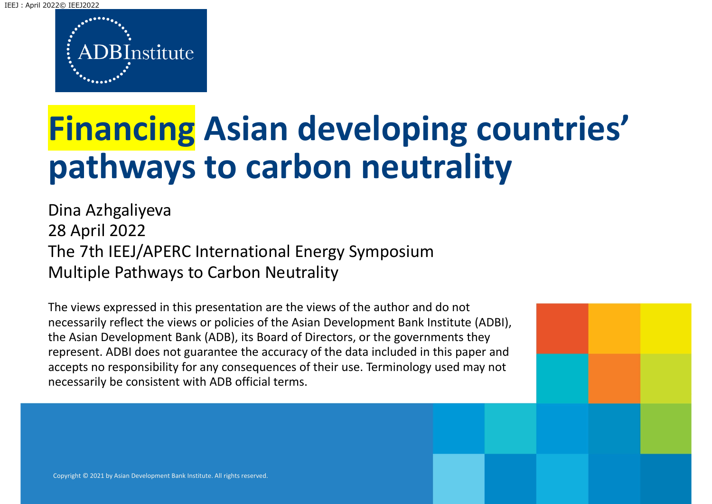IEEJ︓April 2022© IEEJ2022



# **Financing Asian developing countries' pathways to carbon neutrality**

Dina Azhgaliyeva 28 April 2022 The 7th IEEJ/APERC International Energy Symposium Multiple Pathways to Carbon Neutrality

The views expressed in this presentation are the views of the author and do not necessarily reflect the views or policies of the Asian Development Bank Institute (ADBI), the Asian Development Bank (ADB), its Board of Directors, or the governments they represent. ADBI does not guarantee the accuracy of the data included in this paper and accepts no responsibility for any consequences of their use. Terminology used may not necessarily be consistent with ADB official terms.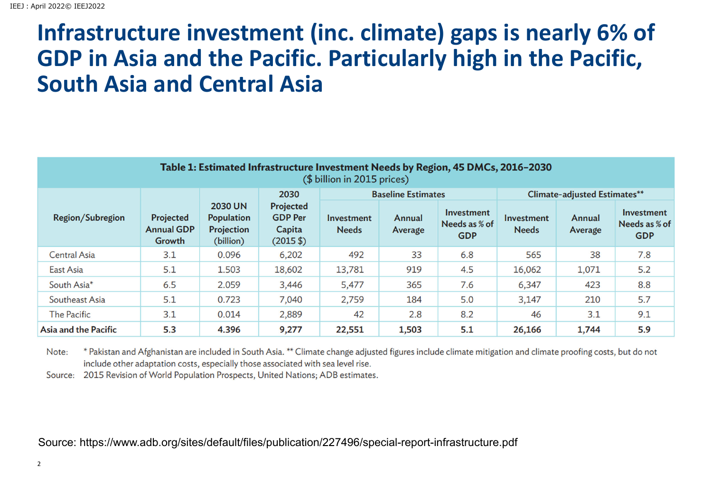#### **Infrastructure investment (inc. climate) gaps is nearly 6% of GDP in Asia and the Pacific. Particularly high in the Pacific, South Asia and Central Asia**

| Table 1: Estimated Infrastructure Investment Needs by Region, 45 DMCs, 2016-2030<br>(\$ billion in 2015 prices) |                                          |                                                                |                                                                                    |                            |                   |                                           |                                     |                   |                                           |
|-----------------------------------------------------------------------------------------------------------------|------------------------------------------|----------------------------------------------------------------|------------------------------------------------------------------------------------|----------------------------|-------------------|-------------------------------------------|-------------------------------------|-------------------|-------------------------------------------|
| <b>Region/Subregion</b>                                                                                         | Projected<br><b>Annual GDP</b><br>Growth | <b>2030 UN</b><br><b>Population</b><br>Projection<br>(billion) | 2030<br>Projected<br><b>GDP Per</b><br>Capita<br>$(2015 \text{ $}^{\circ}\text{)}$ | <b>Baseline Estimates</b>  |                   |                                           | <b>Climate-adjusted Estimates**</b> |                   |                                           |
|                                                                                                                 |                                          |                                                                |                                                                                    | Investment<br><b>Needs</b> | Annual<br>Average | Investment<br>Needs as % of<br><b>GDP</b> | Investment<br><b>Needs</b>          | Annual<br>Average | Investment<br>Needs as % of<br><b>GDP</b> |
| <b>Central Asia</b>                                                                                             | 3.1                                      | 0.096                                                          | 6,202                                                                              | 492                        | 33                | 6.8                                       | 565                                 | 38                | 7.8                                       |
| East Asia                                                                                                       | 5.1                                      | 1.503                                                          | 18,602                                                                             | 13,781                     | 919               | 4.5                                       | 16,062                              | 1,071             | 5.2                                       |
| South Asia*                                                                                                     | 6.5                                      | 2.059                                                          | 3,446                                                                              | 5,477                      | 365               | 7.6                                       | 6,347                               | 423               | 8.8                                       |
| Southeast Asia                                                                                                  | 5.1                                      | 0.723                                                          | 7,040                                                                              | 2,759                      | 184               | 5.0                                       | 3,147                               | 210               | 5.7                                       |
| <b>The Pacific</b>                                                                                              | 3.1                                      | 0.014                                                          | 2,889                                                                              | 42                         | 2.8               | 8.2                                       | 46                                  | 3.1               | 9.1                                       |
| <b>Asia and the Pacific</b>                                                                                     | 5.3                                      | 4.396                                                          | 9,277                                                                              | 22,551                     | 1,503             | 5.1                                       | 26,166                              | 1,744             | 5.9                                       |

\* Pakistan and Afghanistan are included in South Asia. \*\* Climate change adjusted figures include climate mitigation and climate proofing costs, but do not Note: include other adaptation costs, especially those associated with sea level rise.

Source: 2015 Revision of World Population Prospects, United Nations; ADB estimates.

Source: https://www.adb.org/sites/default/files/publication/227496/special-report-infrastructure.pdf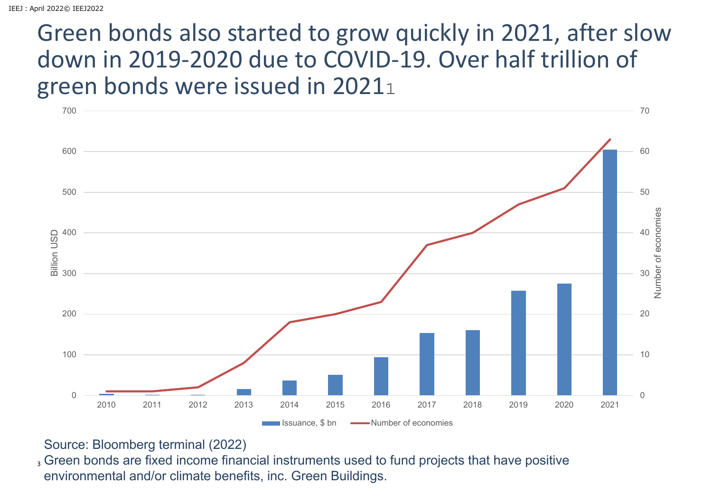#### Green bonds also started to grow quickly in 2021, after slow down in 2019‐2020 due to COVID‐19. Over half trillion of green bonds were issued in 2021.



#### Source: Bloomberg terminal (2022)

3 Green bonds are fixed income financial instruments used to fund projects that have positive environmental and/or climate benefits, inc. Green Buildings.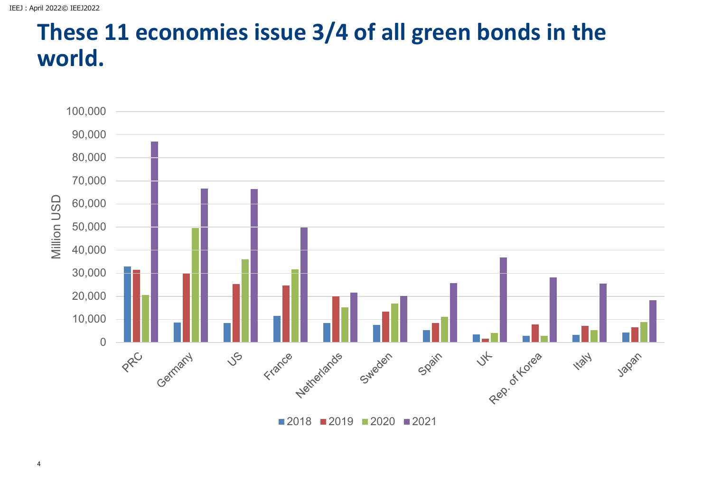#### **These 11 economies issue 3/4 of all green bonds in the world.**



4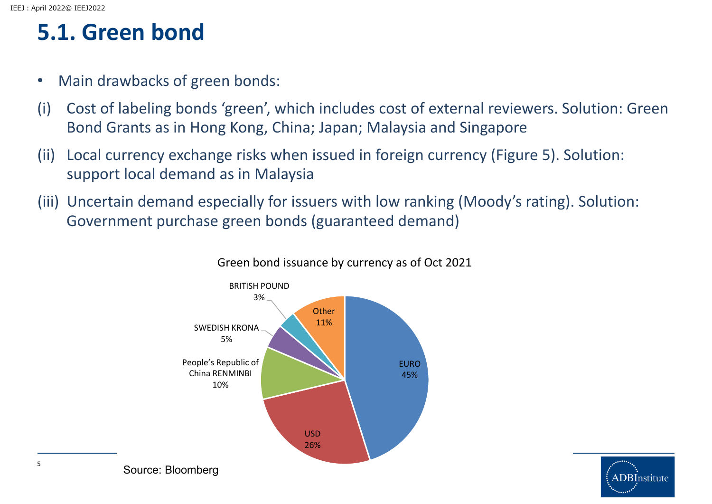#### **5.1. Green bond**

- $\bullet$ Main drawbacks of green bonds:
- (i) Cost of labeling bonds 'green', which includes cost of external reviewers. Solution: Green Bond Grants as in Hong Kong, China; Japan; Malaysia and Singapore
- (ii) Local currency exchange risks when issued in foreign currency (Figure 5). Solution: support local demand as in Malaysia
- (iii) Uncertain demand especially for issuers with low ranking (Moody's rating). Solution: Government purchase green bonds (guaranteed demand)



#### Green bond issuance by currency as of Oct 2021

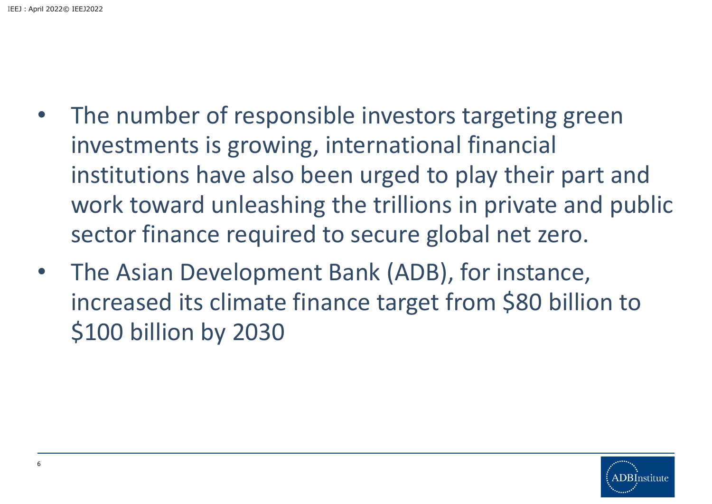- • The number of responsible investors targeting green investments is growing, international financial institutions have also been urged to play their part and work toward unleashing the trillions in private and public sector finance required to secure global net zero.
- $\bullet$  The Asian Development Bank (ADB), for instance, increased its climate finance target from \$80 billion to \$100 billion by 2030

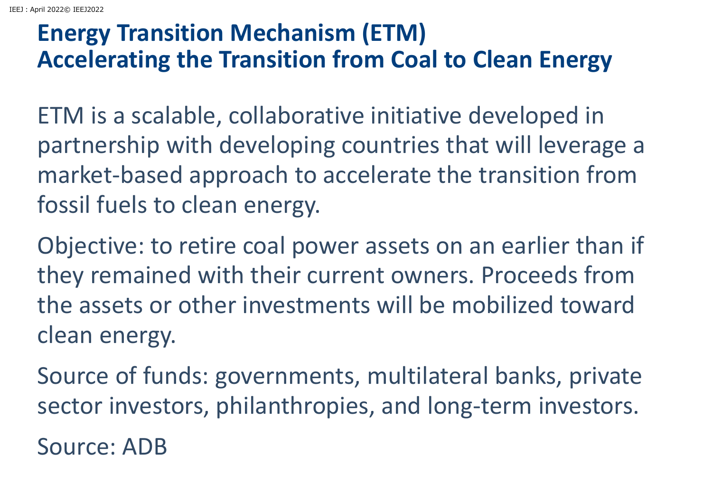#### **Energy Transition Mechanism (ETM) Accelerating the Transition from Coal to Clean Energy**

ETM is <sup>a</sup> scalable, collaborative initiative developed in partnership with developing countries that will leverage <sup>a</sup> market‐based approach to accelerate the transition from fossil fuels to clean energy.

Objective: to retire coal power assets on an earlier than if they remained with their current owners. Proceeds from the assets or other investments will be mobilized toward clean energy.

Source of funds: governments, multilateral banks, private sector investors, philanthropies, and long‐term investors.

Source: ADB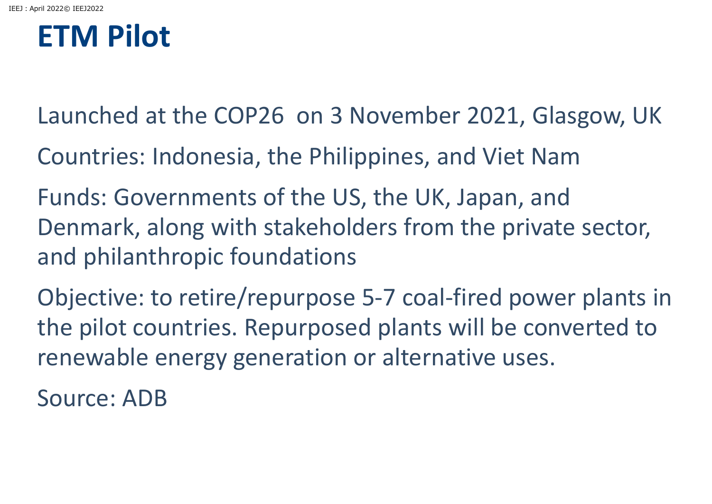## **ETM Pilot**

- Launched at the COP26 on 3 November 2021, Glasgow, UK
- Countries: Indonesia, the Philippines, and Viet Nam
- Funds: Governments of the US, the UK, Japan, and Denmark, along with stakeholders from the private sector, and philanthropic foundations
- Objective: to retire/repurpose 5‐7 coal‐fired power plants in the pilot countries. Repurposed plants will be converted to renewable energy generation or alternative uses.

Source: ADB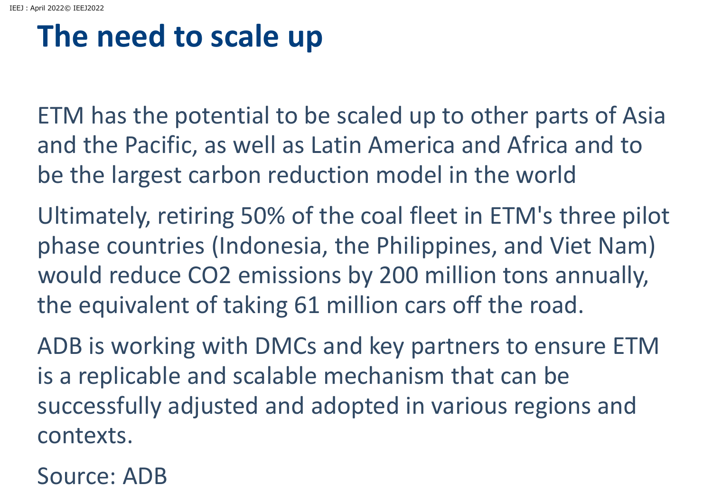## **The need to scale up**

ETM has the potential to be scaled up to other parts of Asia and the Pacific, as well as Latin America and Africa and to be the largest carbon reduction model in the world

Ultimately, retiring 50% of the coal fleet in ETM's three pilot phase countries (Indonesia, the Philippines, and Viet Nam) would reduce CO2 emissions by 200 million tons annually, the equivalent of taking 61 million cars off the road.

ADB is working with DMCs and key partners to ensure ETM is a replicable and scalable mechanism that can be successfully adjusted and adopted in various regions and contexts.

Source: ADB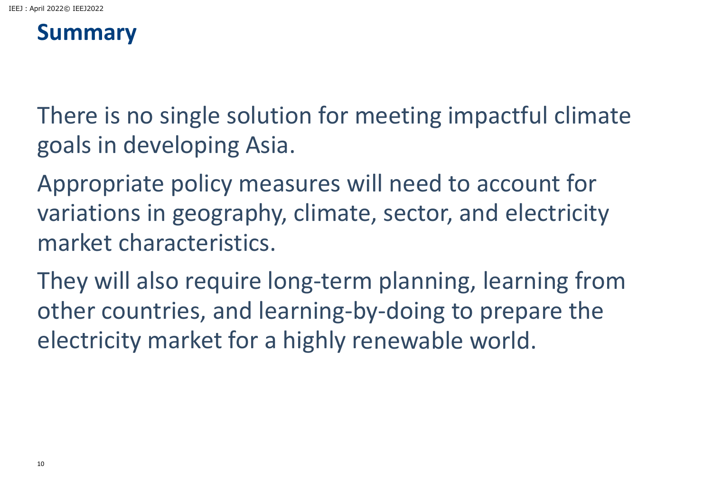#### **Summary**

There is no single solution for meeting impactful climate goals in developing Asia.

Appropriate policy measures will need to account for variations in geography, climate, sector, and electricity market characteristics.

They will also require long‐term planning, learning from other countries, and learning‐by‐doing to prepare the electricity market for <sup>a</sup> highly renewable world.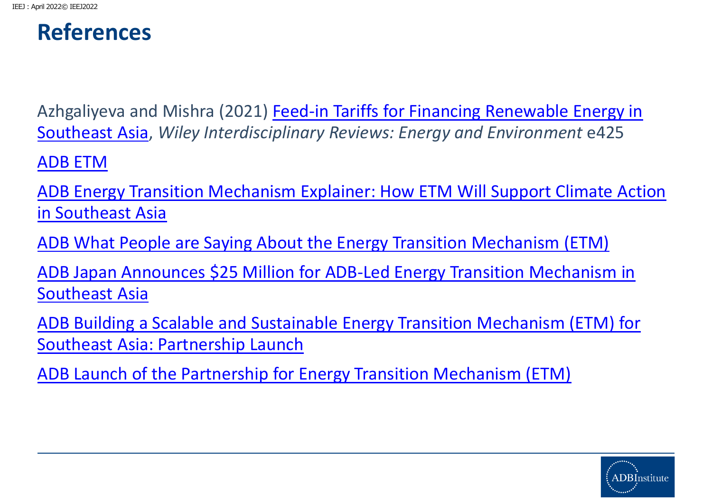#### **References**

Azhgaliyeva and Mishra (2021) Feed‐in Tariffs for Financing Renewable Energy in Southeast Asia, *Wiley Interdisciplinary Reviews: Energy and Environment* e425

ADB ETM

ADB Energy Transition Mechanism Explainer: How ETM Will Support Climate Action in Southeast Asia

ADB What People are Saying About the Energy Transition Mechanism (ETM)

ADB Japan Announces \$25 Million for ADB‐Led Energy Transition Mechanism in Southeast Asia

ADB Building <sup>a</sup> Scalable and Sustainable Energy Transition Mechanism (ETM) for Southeast Asia: Partnership Launch

ADB Launch of the Partnership for Energy Transition Mechanism (ETM)